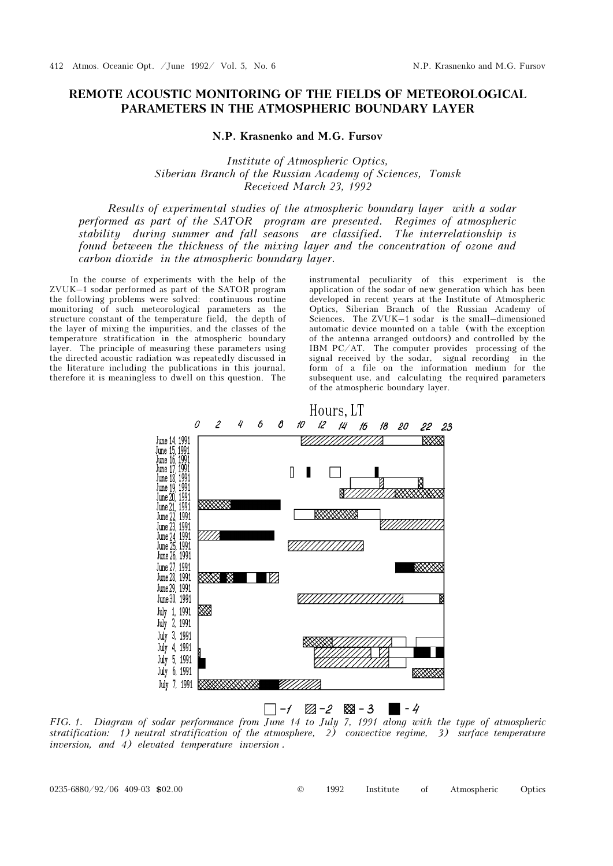## REMOTE ACOUSTIC MONITORING OF THE FIELDS OF METEOROLOGICAL PARAMETERS IN THE ATMOSPHERIC BOUNDARY LAYER

N.P. Krasnenko and M.G. Fursov

Institute of Atmospheric Optics, Siberian Branch of the Russian Academy of Sciences, Tomsk Received March 23, 1992

Results of experimental studies of the atmospheric boundary layer with a sodar performed as part of the SATOR program are presented. Regimes of atmospheric stability during summer and fall seasons are classified. The interrelationship is found between the thickness of the mixing layer and the concentration of ozone and carbon dioxide in the atmospheric boundary layer.

In the course of experiments with the help of the ZVUK–1 sodar performed as part of the SATOR program the following problems were solved: continuous routine monitoring of such meteorological parameters as the structure constant of the temperature field, the depth of the layer of mixing the impurities, and the classes of the temperature stratification in the atmospheric boundary layer. The principle of measuring these parameters using the directed acoustic radiation was repeatedly discussed in the literature including the publications in this journal, therefore it is meaningless to dwell on this question. The

instrumental peculiarity of this experiment is the application of the sodar of new generation which has been developed in recent years at the Institute of Atmospheric Optics, Siberian Branch of the Russian Academy of Sciences. The ZVUK–1 sodar is the small–dimensioned automatic device mounted on a table (with the exception of the antenna arranged outdoors) and controlled by the IBM PC/AT. The computer provides processing of the signal received by the sodar, signal recording in the form of a file on the information medium for the subsequent use, and calculating the required parameters of the atmospheric boundary layer.



FIG. 1. Diagram of sodar performance from June 14 to July 7, 1991 along with the type of atmospheric stratification: 1) neutral stratification of the atmosphere, 2) convective regime, 3) surface temperature inversion, and 4) elevated temperature inversion .

0235-6880/92/06 409-03 \$02.00 © 1992 Institute of Atmospheric Optics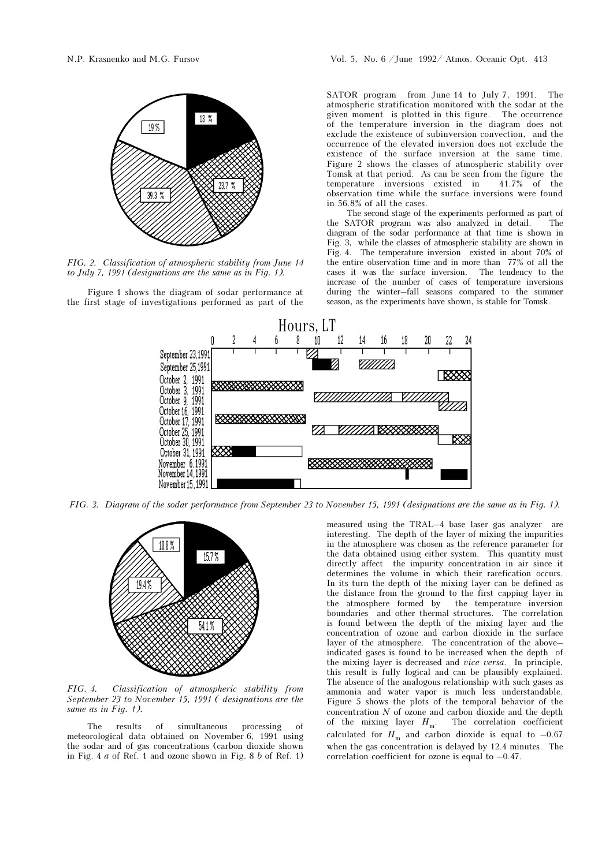

FIG. 2. Classification of atmospheric stability from June 14 to July 7, 1991 (designations are the same as in Fig. 1).

Figure 1 shows the diagram of sodar performance at the first stage of investigations performed as part of the SATOR program from June 14 to July 7, 1991. The atmospheric stratification monitored with the sodar at the given moment is plotted in this figure. The occurrence of the temperature inversion in the diagram does not exclude the existence of subinversion convection, and the occurrence of the elevated inversion does not exclude the existence of the surface inversion at the same time. Figure 2 shows the classes of atmospheric stability over Tomsk at that period. As can be seen from the figure the temperature inversions existed in 41.7% of the temperature inversions existed in observation time while the surface inversions were found in 56.8% of all the cases.

The second stage of the experiments performed as part of the SATOR program was also analyzed in detail. The diagram of the sodar performance at that time is shown in Fig. 3, while the classes of atmospheric stability are shown in Fig. 4. The temperature inversion existed in about 70% of the entire observation time and in more than 77% of all the cases it was the surface inversion. The tendency to the increase of the number of cases of temperature inversions during the winter–fall seasons compared to the summer season, as the experiments have shown, is stable for Tomsk.



FIG. 3. Diagram of the sodar performance from September 23 to November 15, 1991 (designations are the same as in Fig. 1).



FIG. 4. Classification of atmospheric stability from September 23 to November 15, 1991 ( designations are the same as in Fig. 1).

The results of simultaneous processing of meteorological data obtained on November 6, 1991 using the sodar and of gas concentrations (carbon dioxide shown in Fig. 4  $a$  of Ref. 1 and ozone shown in Fig. 8  $b$  of Ref. 1)

measured using the TRAL–4 base laser gas analyzer are interesting. The depth of the layer of mixing the impurities in the atmosphere was chosen as the reference parameter for the data obtained using either system. This quantity must directly affect the impurity concentration in air since it determines the volume in which their rarefication occurs. In its turn the depth of the mixing layer can be defined as the distance from the ground to the first capping layer in the atmosphere formed by the temperature inversion boundaries and other thermal structures. The correlation is found between the depth of the mixing layer and the concentration of ozone and carbon dioxide in the surface layer of the atmosphere. The concentration of the above– indicated gases is found to be increased when the depth of the mixing layer is decreased and vice versa. In principle, this result is fully logical and can be plausibly explained. The absence of the analogous relationship with such gases as ammonia and water vapor is much less understandable. Figure 5 shows the plots of the temporal behavior of the concentration  $N$  of ozone and carbon dioxide and the depth of the mixing layer  $H_{\text{m}}$ . The correlation coefficient calculated for  $H_{\text{m}}$  and carbon dioxide is equal to -0.67 when the gas concentration is delayed by 12.4 minutes. The correlation coefficient for ozone is equal to  $-0.47$ .